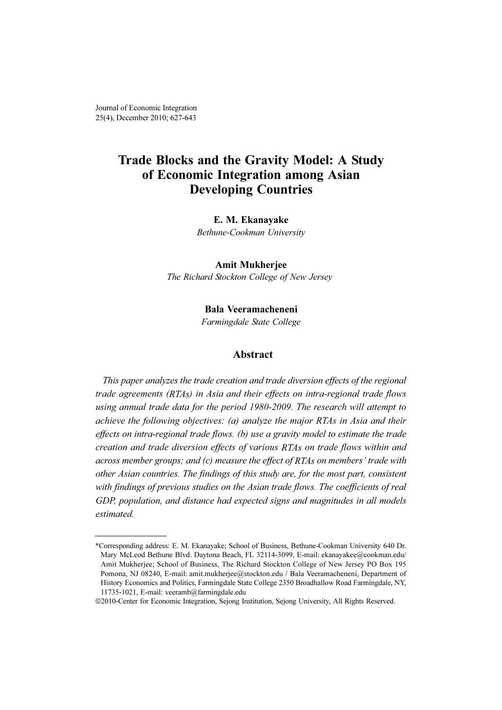Journal of Economic Integration 25(4), December 2010; 627-643

## Trade Blocks and the Gravity Model: A Study of Economic Integration among Asian Developing Countries

#### E. M. Ekanayake

Bethune-Cookman University

#### Amit Mukherjee

The Richard Stockton College of New Jersey

#### Bala Veeramacheneni

Farmingdale State College

#### Abstract

This paper analyzes the trade creation and trade diversion effects of the regional trade agreements (RTAs) in Asia and their effects on intra-regional trade flows using annual trade data for the period 1980-2009. The research will attempt to achieve the following objectives: (a) analyze the major RTAs in Asia and their effects on intra-regional trade flows. (b) use a gravity model to estimate the trade creation and trade diversion effects of various RTAs on trade flows within and across member groups; and (c) measure the effect of RTAs on members' trade with other Asian countries. The findings of this study are, for the most part, consistent with findings of previous studies on the Asian trade flows. The coefficients of real GDP, population, and distance had expected signs and magnitudes in all models estimated.

<sup>\*</sup>Corresponding address: E. M. Ekanayake; School of Business, Bethune-Cookman University 640 Dr. Mary McLeod Bethune Blvd. Daytona Beach, FL 32114-3099, E-mail: ekanayakee@cookman.edu/ Amit Mukherjee; School of Business, The Richard Stockton College of New Jersey PO Box 195 Pomona, NJ 08240, E-mail: amit.mukherjee@stockton.edu / Bala Veeramacheneni, Department of History Economics and Politics, Farmingdale State College 2350 Broadhallow Road Farmingdale, NY, 11735-1021, E-mail: veeramb@farmingdale.edu

<sup>©</sup>2010-Center for Economic Integration, Sejong Institution, Sejong University, All Rights Reserved.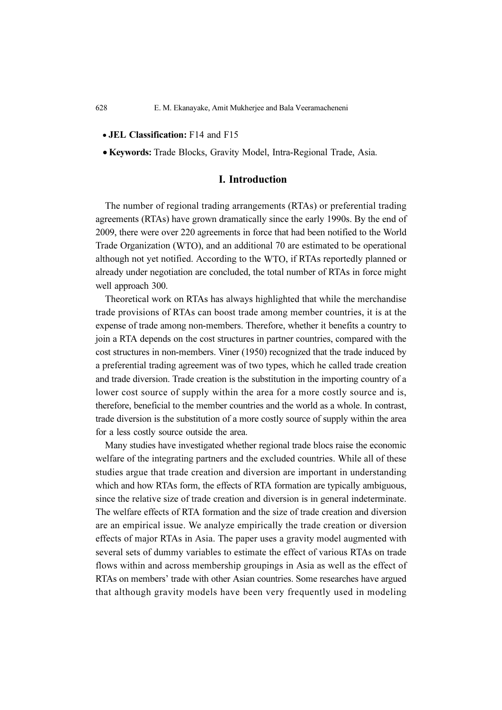- *•* JEL Classification: F14 and F15
- *•* Keywords: Trade Blocks, Gravity Model, Intra-Regional Trade, Asia.

### I. Introduction

The number of regional trading arrangements (RTAs) or preferential trading agreements (RTAs) have grown dramatically since the early 1990s. By the end of 2009, there were over 220 agreements in force that had been notified to the World Trade Organization (WTO), and an additional 70 are estimated to be operational although not yet notified. According to the WTO, if RTAs reportedly planned or already under negotiation are concluded, the total number of RTAs in force might well approach 300.

Theoretical work on RTAs has always highlighted that while the merchandise trade provisions of RTAs can boost trade among member countries, it is at the expense of trade among non-members. Therefore, whether it benefits a country to join a RTA depends on the cost structures in partner countries, compared with the cost structures in non-members. Viner (1950) recognized that the trade induced by a preferential trading agreement was of two types, which he called trade creation and trade diversion. Trade creation is the substitution in the importing country of a lower cost source of supply within the area for a more costly source and is, therefore, beneficial to the member countries and the world as a whole. In contrast, trade diversion is the substitution of a more costly source of supply within the area for a less costly source outside the area.

Many studies have investigated whether regional trade blocs raise the economic welfare of the integrating partners and the excluded countries. While all of these studies argue that trade creation and diversion are important in understanding which and how RTAs form, the effects of RTA formation are typically ambiguous, since the relative size of trade creation and diversion is in general indeterminate. The welfare effects of RTA formation and the size of trade creation and diversion are an empirical issue. We analyze empirically the trade creation or diversion effects of major RTAs in Asia. The paper uses a gravity model augmented with several sets of dummy variables to estimate the effect of various RTAs on trade flows within and across membership groupings in Asia as well as the effect of RTAs on members' trade with other Asian countries. Some researches have argued that although gravity models have been very frequently used in modeling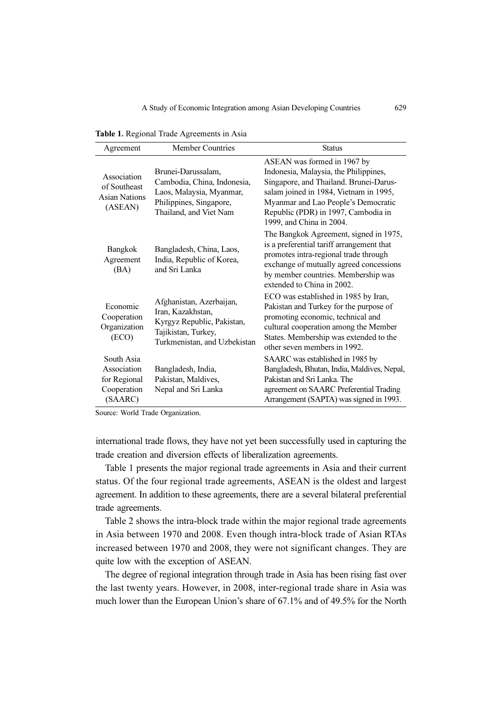Table 1. Regional Trade Agreements in Asia

| Agreement                                                           | <b>Member Countries</b>                                                                                                            | <b>Status</b>                                                                                                                                                                                                                                                      |
|---------------------------------------------------------------------|------------------------------------------------------------------------------------------------------------------------------------|--------------------------------------------------------------------------------------------------------------------------------------------------------------------------------------------------------------------------------------------------------------------|
| Association<br>of Southeast<br><b>Asian Nations</b><br>(ASEAN)      | Brunei-Darussalam,<br>Cambodia, China, Indonesia,<br>Laos, Malaysia, Myanmar,<br>Philippines, Singapore,<br>Thailand, and Viet Nam | ASEAN was formed in 1967 by<br>Indonesia, Malaysia, the Philippines,<br>Singapore, and Thailand. Brunei-Darus-<br>salam joined in 1984, Vietnam in 1995,<br>Myanmar and Lao People's Democratic<br>Republic (PDR) in 1997, Cambodia in<br>1999, and China in 2004. |
| Bangkok<br>Agreement<br>(BA)                                        | Bangladesh, China, Laos,<br>India, Republic of Korea,<br>and Sri Lanka                                                             | The Bangkok Agreement, signed in 1975,<br>is a preferential tariff arrangement that<br>promotes intra-regional trade through<br>exchange of mutually agreed concessions<br>by member countries. Membership was<br>extended to China in 2002.                       |
| Economic<br>Cooperation<br>Organization<br>(ECO)                    | Afghanistan, Azerbaijan,<br>Iran, Kazakhstan,<br>Kyrgyz Republic, Pakistan,<br>Tajikistan, Turkey,<br>Turkmenistan, and Uzbekistan | ECO was established in 1985 by Iran,<br>Pakistan and Turkey for the purpose of<br>promoting economic, technical and<br>cultural cooperation among the Member<br>States. Membership was extended to the<br>other seven members in 1992.                             |
| South Asia<br>Association<br>for Regional<br>Cooperation<br>(SAARC) | Bangladesh, India,<br>Pakistan, Maldives,<br>Nepal and Sri Lanka                                                                   | SAARC was established in 1985 by<br>Bangladesh, Bhutan, India, Maldives, Nepal,<br>Pakistan and Sri Lanka. The<br>agreement on SAARC Preferential Trading<br>Arrangement (SAPTA) was signed in 1993.                                                               |

Source: World Trade Organization.

international trade flows, they have not yet been successfully used in capturing the trade creation and diversion effects of liberalization agreements.

Table 1 presents the major regional trade agreements in Asia and their current status. Of the four regional trade agreements, ASEAN is the oldest and largest agreement. In addition to these agreements, there are a several bilateral preferential trade agreements.

Table 2 shows the intra-block trade within the major regional trade agreements in Asia between 1970 and 2008. Even though intra-block trade of Asian RTAs increased between 1970 and 2008, they were not significant changes. They are quite low with the exception of ASEAN.

The degree of regional integration through trade in Asia has been rising fast over the last twenty years. However, in 2008, inter-regional trade share in Asia was much lower than the European Union's share of 67.1% and of 49.5% for the North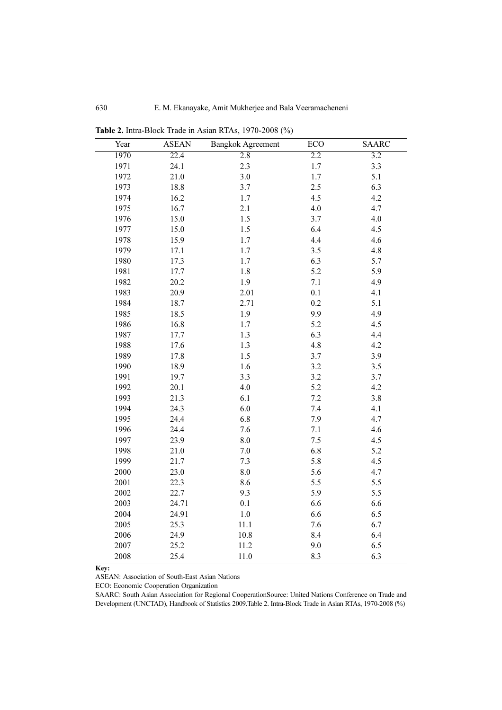| Year | <b>ASEAN</b> | <b>Bangkok Agreement</b> | ECO | <b>SAARC</b> |
|------|--------------|--------------------------|-----|--------------|
| 1970 | 22.4         | 2.8                      | 2.2 | 3.2          |
| 1971 | 24.1         | 2.3                      | 1.7 | 3.3          |
| 1972 | 21.0         | $3.0\,$                  | 1.7 | 5.1          |
| 1973 | 18.8         | 3.7                      | 2.5 | 6.3          |
| 1974 | 16.2         | 1.7                      | 4.5 | 4.2          |
| 1975 | 16.7         | 2.1                      | 4.0 | 4.7          |
| 1976 | 15.0         | 1.5                      | 3.7 | 4.0          |
| 1977 | 15.0         | $1.5\,$                  | 6.4 | 4.5          |
| 1978 | 15.9         | 1.7                      | 4.4 | 4.6          |
| 1979 | 17.1         | 1.7                      | 3.5 | 4.8          |
| 1980 | 17.3         | 1.7                      | 6.3 | 5.7          |
| 1981 | 17.7         | $1.8\,$                  | 5.2 | 5.9          |
| 1982 | 20.2         | 1.9                      | 7.1 | 4.9          |
| 1983 | 20.9         | 2.01                     | 0.1 | 4.1          |
| 1984 | 18.7         | 2.71                     | 0.2 | 5.1          |
| 1985 | 18.5         | 1.9                      | 9.9 | 4.9          |
| 1986 | 16.8         | 1.7                      | 5.2 | 4.5          |
| 1987 | 17.7         | 1.3                      | 6.3 | 4.4          |
| 1988 | 17.6         | 1.3                      | 4.8 | 4.2          |
| 1989 | 17.8         | 1.5                      | 3.7 | 3.9          |
| 1990 | 18.9         | 1.6                      | 3.2 | 3.5          |
| 1991 | 19.7         | 3.3                      | 3.2 | 3.7          |
| 1992 | 20.1         | 4.0                      | 5.2 | 4.2          |
| 1993 | 21.3         | 6.1                      | 7.2 | 3.8          |
| 1994 | 24.3         | 6.0                      | 7.4 | 4.1          |
| 1995 | 24.4         | 6.8                      | 7.9 | 4.7          |
| 1996 | 24.4         | 7.6                      | 7.1 | 4.6          |
| 1997 | 23.9         | 8.0                      | 7.5 | 4.5          |
| 1998 | 21.0         | $7.0\,$                  | 6.8 | 5.2          |
| 1999 | 21.7         | 7.3                      | 5.8 | 4.5          |
| 2000 | 23.0         | 8.0                      | 5.6 | 4.7          |
| 2001 | 22.3         | 8.6                      | 5.5 | 5.5          |
| 2002 | 22.7         | 9.3                      | 5.9 | 5.5          |
| 2003 | 24.71        | 0.1                      | 6.6 | 6.6          |
| 2004 | 24.91        | $1.0\,$                  | 6.6 | 6.5          |
| 2005 | 25.3         | 11.1                     | 7.6 | 6.7          |
| 2006 | 24.9         | 10.8                     | 8.4 | 6.4          |
| 2007 | 25.2         | 11.2                     | 9.0 | 6.5          |
| 2008 | 25.4         | 11.0                     | 8.3 | 6.3          |

Table 2. Intra-Block Trade in Asian RTAs, 1970-2008 (%)

Key:

ASEAN: Association of South-East Asian Nations

ECO: Economic Cooperation Organization

SAARC: South Asian Association for Regional CooperationSource: United Nations Conference on Trade and Development (UNCTAD), Handbook of Statistics 2009.Table 2. Intra-Block Trade in Asian RTAs, 1970-2008 (%)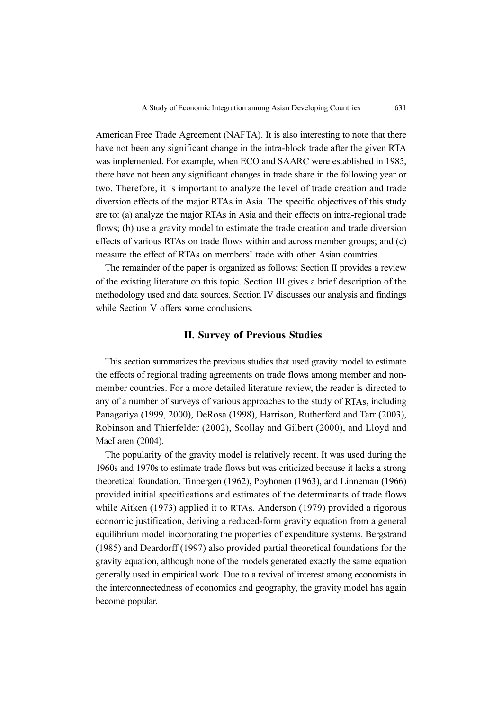American Free Trade Agreement (NAFTA). It is also interesting to note that there have not been any significant change in the intra-block trade after the given RTA was implemented. For example, when ECO and SAARC were established in 1985, there have not been any significant changes in trade share in the following year or two. Therefore, it is important to analyze the level of trade creation and trade diversion effects of the major RTAs in Asia. The specific objectives of this study are to: (a) analyze the major RTAs in Asia and their effects on intra-regional trade flows; (b) use a gravity model to estimate the trade creation and trade diversion effects of various RTAs on trade flows within and across member groups; and (c) measure the effect of RTAs on members' trade with other Asian countries.

The remainder of the paper is organized as follows: Section II provides a review of the existing literature on this topic. Section III gives a brief description of the methodology used and data sources. Section IV discusses our analysis and findings while Section V offers some conclusions.

#### II. Survey of Previous Studies

This section summarizes the previous studies that used gravity model to estimate the effects of regional trading agreements on trade flows among member and nonmember countries. For a more detailed literature review, the reader is directed to any of a number of surveys of various approaches to the study of RTAs, including Panagariya (1999, 2000), DeRosa (1998), Harrison, Rutherford and Tarr (2003), Robinson and Thierfelder (2002), Scollay and Gilbert (2000), and Lloyd and MacLaren (2004).

The popularity of the gravity model is relatively recent. It was used during the 1960s and 1970s to estimate trade flows but was criticized because it lacks a strong theoretical foundation. Tinbergen (1962), Poyhonen (1963), and Linneman (1966) provided initial specifications and estimates of the determinants of trade flows while Aitken (1973) applied it to RTAs. Anderson (1979) provided a rigorous economic justification, deriving a reduced-form gravity equation from a general equilibrium model incorporating the properties of expenditure systems. Bergstrand (1985) and Deardorff (1997) also provided partial theoretical foundations for the gravity equation, although none of the models generated exactly the same equation generally used in empirical work. Due to a revival of interest among economists in the interconnectedness of economics and geography, the gravity model has again become popular.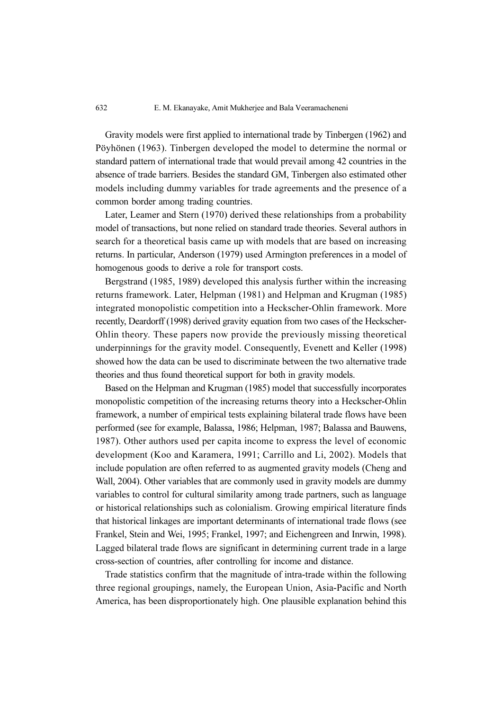Gravity models were first applied to international trade by Tinbergen (1962) and Pöyhönen (1963). Tinbergen developed the model to determine the normal or standard pattern of international trade that would prevail among 42 countries in the absence of trade barriers. Besides the standard GM, Tinbergen also estimated other models including dummy variables for trade agreements and the presence of a common border among trading countries.

Later, Leamer and Stern (1970) derived these relationships from a probability model of transactions, but none relied on standard trade theories. Several authors in search for a theoretical basis came up with models that are based on increasing returns. In particular, Anderson (1979) used Armington preferences in a model of homogenous goods to derive a role for transport costs.

Bergstrand (1985, 1989) developed this analysis further within the increasing returns framework. Later, Helpman (1981) and Helpman and Krugman (1985) integrated monopolistic competition into a Heckscher-Ohlin framework. More recently, Deardorff (1998) derived gravity equation from two cases of the Heckscher-Ohlin theory. These papers now provide the previously missing theoretical underpinnings for the gravity model. Consequently, Evenett and Keller (1998) showed how the data can be used to discriminate between the two alternative trade theories and thus found theoretical support for both in gravity models.

Based on the Helpman and Krugman (1985) model that successfully incorporates monopolistic competition of the increasing returns theory into a Heckscher-Ohlin framework, a number of empirical tests explaining bilateral trade flows have been performed (see for example, Balassa, 1986; Helpman, 1987; Balassa and Bauwens, 1987). Other authors used per capita income to express the level of economic development (Koo and Karamera, 1991; Carrillo and Li, 2002). Models that include population are often referred to as augmented gravity models (Cheng and Wall, 2004). Other variables that are commonly used in gravity models are dummy variables to control for cultural similarity among trade partners, such as language or historical relationships such as colonialism. Growing empirical literature finds that historical linkages are important determinants of international trade flows (see Frankel, Stein and Wei, 1995; Frankel, 1997; and Eichengreen and Inrwin, 1998). Lagged bilateral trade flows are significant in determining current trade in a large cross-section of countries, after controlling for income and distance.

Trade statistics confirm that the magnitude of intra-trade within the following three regional groupings, namely, the European Union, Asia-Pacific and North America, has been disproportionately high. One plausible explanation behind this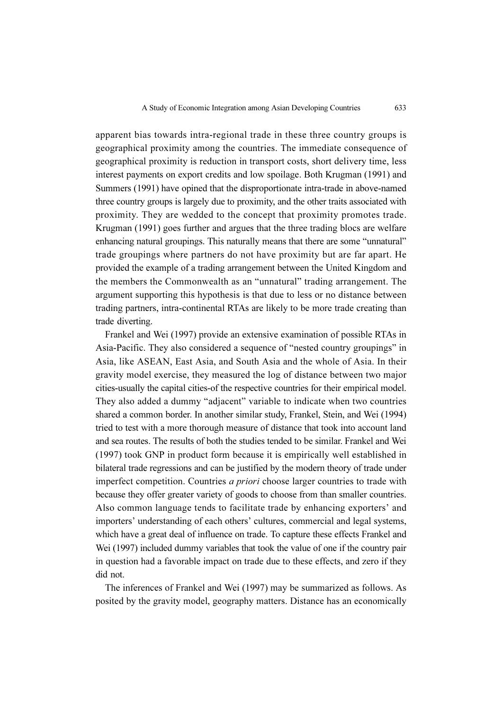apparent bias towards intra-regional trade in these three country groups is geographical proximity among the countries. The immediate consequence of geographical proximity is reduction in transport costs, short delivery time, less interest payments on export credits and low spoilage. Both Krugman (1991) and Summers (1991) have opined that the disproportionate intra-trade in above-named three country groups is largely due to proximity, and the other traits associated with proximity. They are wedded to the concept that proximity promotes trade. Krugman (1991) goes further and argues that the three trading blocs are welfare enhancing natural groupings. This naturally means that there are some "unnatural" trade groupings where partners do not have proximity but are far apart. He provided the example of a trading arrangement between the United Kingdom and the members the Commonwealth as an "unnatural" trading arrangement. The argument supporting this hypothesis is that due to less or no distance between trading partners, intra-continental RTAs are likely to be more trade creating than trade diverting.

Frankel and Wei (1997) provide an extensive examination of possible RTAs in Asia-Pacific. They also considered a sequence of "nested country groupings" in Asia, like ASEAN, East Asia, and South Asia and the whole of Asia. In their gravity model exercise, they measured the log of distance between two major cities-usually the capital cities-of the respective countries for their empirical model. They also added a dummy "adjacent" variable to indicate when two countries shared a common border. In another similar study, Frankel, Stein, and Wei (1994) tried to test with a more thorough measure of distance that took into account land and sea routes. The results of both the studies tended to be similar. Frankel and Wei (1997) took GNP in product form because it is empirically well established in bilateral trade regressions and can be justified by the modern theory of trade under imperfect competition. Countries *a priori* choose larger countries to trade with because they offer greater variety of goods to choose from than smaller countries. Also common language tends to facilitate trade by enhancing exporters' and importers' understanding of each others' cultures, commercial and legal systems, which have a great deal of influence on trade. To capture these effects Frankel and Wei (1997) included dummy variables that took the value of one if the country pair in question had a favorable impact on trade due to these effects, and zero if they did not.

The inferences of Frankel and Wei (1997) may be summarized as follows. As posited by the gravity model, geography matters. Distance has an economically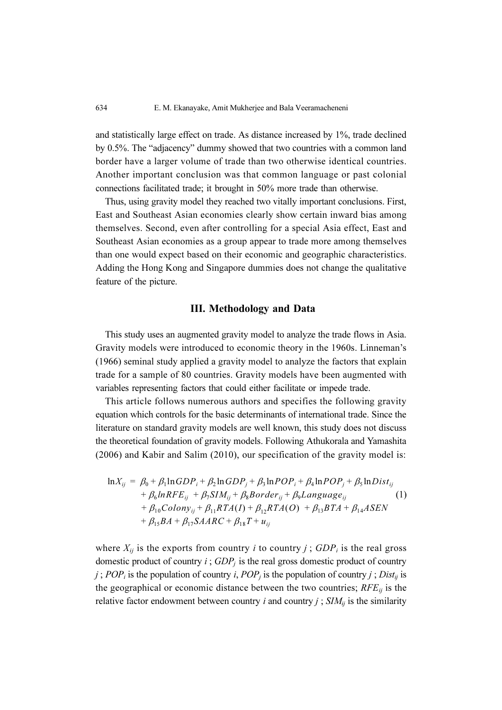and statistically large effect on trade. As distance increased by 1%, trade declined by 0.5%. The "adjacency" dummy showed that two countries with a common land border have a larger volume of trade than two otherwise identical countries. Another important conclusion was that common language or past colonial connections facilitated trade; it brought in 50% more trade than otherwise.

Thus, using gravity model they reached two vitally important conclusions. First, East and Southeast Asian economies clearly show certain inward bias among themselves. Second, even after controlling for a special Asia effect, East and Southeast Asian economies as a group appear to trade more among themselves than one would expect based on their economic and geographic characteristics. Adding the Hong Kong and Singapore dummies does not change the qualitative feature of the picture.

## III. Methodology and Data

This study uses an augmented gravity model to analyze the trade flows in Asia. Gravity models were introduced to economic theory in the 1960s. Linneman's (1966) seminal study applied a gravity model to analyze the factors that explain trade for a sample of 80 countries. Gravity models have been augmented with variables representing factors that could either facilitate or impede trade.

This article follows numerous authors and specifies the following gravity equation which controls for the basic determinants of international trade. Since the literature on standard gravity models are well known, this study does not discuss the theoretical foundation of gravity models. Following Athukorala and Yamashita (2006) and Kabir and Salim (2010), our specification of the gravity model is:

$$
\ln X_{ij} = \beta_0 + \beta_1 \ln GDP_i + \beta_2 \ln GDP_j + \beta_3 \ln POP_i + \beta_4 \ln POP_j + \beta_5 \ln Dist_{ij}
$$
  
+  $\beta_6 \ln REF_{ij} + \beta_7 SIM_{ij} + \beta_8 B order_{ij} + \beta_9 Language_{ij}$  (1)  
+  $\beta_{10} Colony_{ij} + \beta_{11} RTA(I) + \beta_{12} RTA(O) + \beta_{13} BTA + \beta_{14} ASEN$   
+  $\beta_{15} BA + \beta_{17} SAARC + \beta_{18} T + u_{ij}$ 

where  $X_{ij}$  is the exports from country *i* to country *j*;  $GDP_i$  is the real gross domestic product of country  $i$ ;  $GDP<sub>j</sub>$  is the real gross domestic product of country j; POP<sub>i</sub> is the population of country i, POP<sub>i</sub> is the population of country j; Dist<sub>ij</sub> is the geographical or economic distance between the two countries;  $RFE_{ij}$  is the relative factor endowment between country *i* and country *j*;  $SIM_{ij}$  is the similarity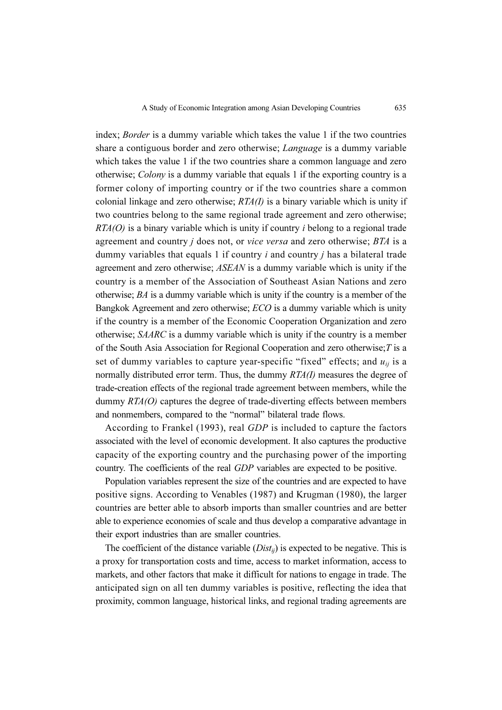index; Border is a dummy variable which takes the value 1 if the two countries share a contiguous border and zero otherwise; *Language* is a dummy variable which takes the value 1 if the two countries share a common language and zero otherwise; Colony is a dummy variable that equals 1 if the exporting country is a former colony of importing country or if the two countries share a common colonial linkage and zero otherwise;  $RTA(I)$  is a binary variable which is unity if two countries belong to the same regional trade agreement and zero otherwise;  $RTA(O)$  is a binary variable which is unity if country *i* belong to a regional trade agreement and country  $j$  does not, or vice versa and zero otherwise;  $BTA$  is a dummy variables that equals 1 if country  $i$  and country  $j$  has a bilateral trade agreement and zero otherwise; ASEAN is a dummy variable which is unity if the country is a member of the Association of Southeast Asian Nations and zero otherwise; BA is a dummy variable which is unity if the country is a member of the Bangkok Agreement and zero otherwise; ECO is a dummy variable which is unity if the country is a member of the Economic Cooperation Organization and zero otherwise; SAARC is a dummy variable which is unity if the country is a member of the South Asia Association for Regional Cooperation and zero otherwise;  $T$  is a set of dummy variables to capture year-specific "fixed" effects; and  $u_{ij}$  is a normally distributed error term. Thus, the dummy  $RTA(I)$  measures the degree of trade-creation effects of the regional trade agreement between members, while the dummy  $RTA(O)$  captures the degree of trade-diverting effects between members and nonmembers, compared to the "normal" bilateral trade flows.

According to Frankel (1993), real GDP is included to capture the factors associated with the level of economic development. It also captures the productive capacity of the exporting country and the purchasing power of the importing country. The coefficients of the real GDP variables are expected to be positive.

Population variables represent the size of the countries and are expected to have positive signs. According to Venables (1987) and Krugman (1980), the larger countries are better able to absorb imports than smaller countries and are better able to experience economies of scale and thus develop a comparative advantage in their export industries than are smaller countries.

The coefficient of the distance variable  $(Dist_{ij})$  is expected to be negative. This is a proxy for transportation costs and time, access to market information, access to markets, and other factors that make it difficult for nations to engage in trade. The anticipated sign on all ten dummy variables is positive, reflecting the idea that proximity, common language, historical links, and regional trading agreements are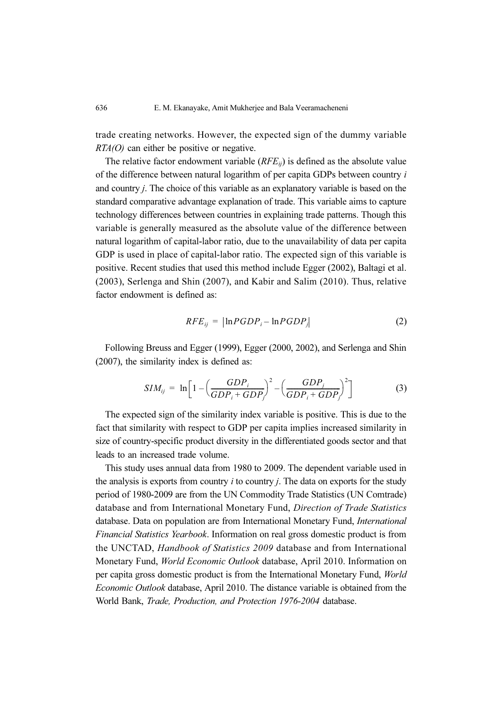trade creating networks. However, the expected sign of the dummy variable  $RTA(O)$  can either be positive or negative.

The relative factor endowment variable  $(RFE_{ii})$  is defined as the absolute value of the difference between natural logarithm of per capita GDPs between country i and country j. The choice of this variable as an explanatory variable is based on the standard comparative advantage explanation of trade. This variable aims to capture technology differences between countries in explaining trade patterns. Though this variable is generally measured as the absolute value of the difference between natural logarithm of capital-labor ratio, due to the unavailability of data per capita GDP is used in place of capital-labor ratio. The expected sign of this variable is positive. Recent studies that used this method include Egger (2002), Baltagi et al. (2003), Serlenga and Shin (2007), and Kabir and Salim (2010). Thus, relative factor endowment is defined as:

$$
RFE_{ij} = |\ln PGDP_i - \ln PGDP_j| \tag{2}
$$

Following Breuss and Egger (1999), Egger (2000, 2002), and Serlenga and Shin (2007), the similarity index is defined as:

$$
SIM_{ij} = \ln\left[1 - \left(\frac{GDP_i}{GDP_i + GDP_j}\right)^2 - \left(\frac{GDP_j}{GDP_i + GDP_j}\right)^2\right]
$$
(3)

The expected sign of the similarity index variable is positive. This is due to the fact that similarity with respect to GDP per capita implies increased similarity in size of country-specific product diversity in the differentiated goods sector and that leads to an increased trade volume.

This study uses annual data from 1980 to 2009. The dependent variable used in the analysis is exports from country  $i$  to country  $j$ . The data on exports for the study period of 1980-2009 are from the UN Commodity Trade Statistics (UN Comtrade) database and from International Monetary Fund, Direction of Trade Statistics database. Data on population are from International Monetary Fund, International Financial Statistics Yearbook. Information on real gross domestic product is from the UNCTAD, Handbook of Statistics 2009 database and from International Monetary Fund, World Economic Outlook database, April 2010. Information on per capita gross domestic product is from the International Monetary Fund, World Economic Outlook database, April 2010. The distance variable is obtained from the World Bank, Trade, Production, and Protection 1976-2004 database.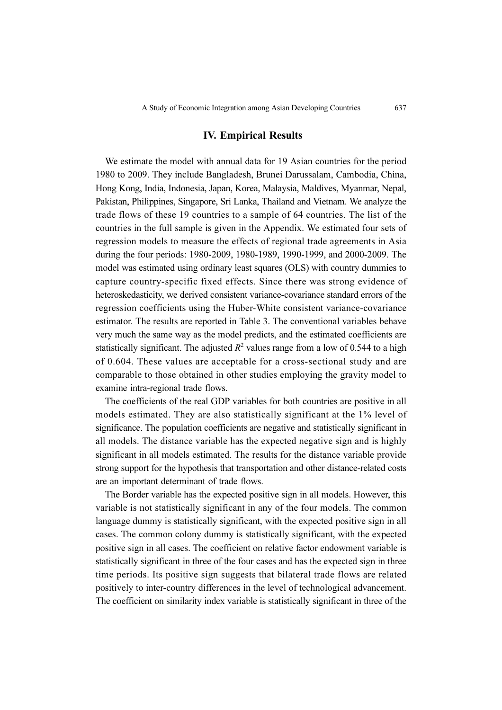#### IV. Empirical Results

We estimate the model with annual data for 19 Asian countries for the period 1980 to 2009. They include Bangladesh, Brunei Darussalam, Cambodia, China, Hong Kong, India, Indonesia, Japan, Korea, Malaysia, Maldives, Myanmar, Nepal, Pakistan, Philippines, Singapore, Sri Lanka, Thailand and Vietnam. We analyze the trade flows of these 19 countries to a sample of 64 countries. The list of the countries in the full sample is given in the Appendix. We estimated four sets of regression models to measure the effects of regional trade agreements in Asia during the four periods: 1980-2009, 1980-1989, 1990-1999, and 2000-2009. The model was estimated using ordinary least squares (OLS) with country dummies to capture country-specific fixed effects. Since there was strong evidence of heteroskedasticity, we derived consistent variance-covariance standard errors of the regression coefficients using the Huber-White consistent variance-covariance estimator. The results are reported in Table 3. The conventional variables behave very much the same way as the model predicts, and the estimated coefficients are statistically significant. The adjusted  $R^2$  values range from a low of 0.544 to a high of 0.604. These values are acceptable for a cross-sectional study and are comparable to those obtained in other studies employing the gravity model to examine intra-regional trade flows.

The coefficients of the real GDP variables for both countries are positive in all models estimated. They are also statistically significant at the 1% level of significance. The population coefficients are negative and statistically significant in all models. The distance variable has the expected negative sign and is highly significant in all models estimated. The results for the distance variable provide strong support for the hypothesis that transportation and other distance-related costs are an important determinant of trade flows.

The Border variable has the expected positive sign in all models. However, this variable is not statistically significant in any of the four models. The common language dummy is statistically significant, with the expected positive sign in all cases. The common colony dummy is statistically significant, with the expected positive sign in all cases. The coefficient on relative factor endowment variable is statistically significant in three of the four cases and has the expected sign in three time periods. Its positive sign suggests that bilateral trade flows are related positively to inter-country differences in the level of technological advancement. The coefficient on similarity index variable is statistically significant in three of the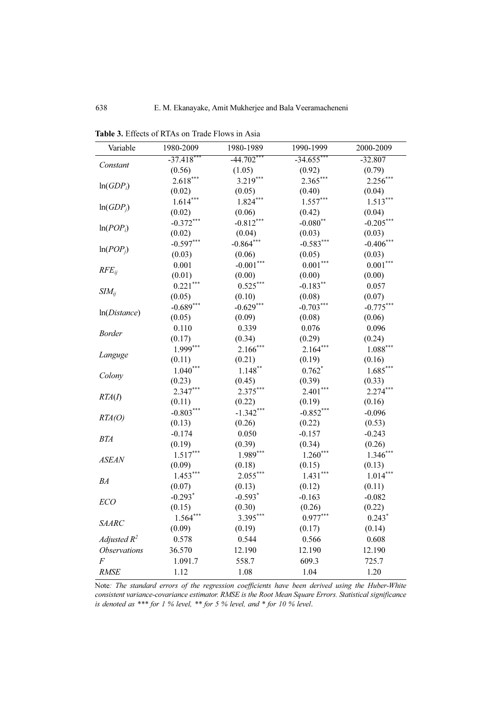| Variable            | 1980-2009             | 1980-1989              | 1990-1999    | 2000-2009   |
|---------------------|-----------------------|------------------------|--------------|-------------|
| Constant            | $-37.418$ ***         | $-44.702$ <sup>*</sup> | $-34.655$ ** | $-32.807$   |
|                     | (0.56)                | (1.05)                 | (0.92)       | (0.79)      |
|                     | $2.618***$            | 3.219***               | $2.365***$   | $2.256***$  |
| $ln(GDP_i)$         | (0.02)                | (0.05)                 | (0.40)       | (0.04)      |
|                     | $1.614***$            | $1.824***$             | $1.557***$   | $1.513***$  |
| $ln(GDP_i)$         | (0.02)                | (0.06)                 | (0.42)       | (0.04)      |
|                     | $-0.372***$           | $-0.812***$            | $-0.080$ **  | $-0.205***$ |
| $ln(POP_i)$         | (0.02)                | (0.04)                 | (0.03)       | (0.03)      |
|                     | $-0.597***$           | $-0.864***$            | $-0.583***$  | $-0.406***$ |
| $ln(POP_i)$         | (0.03)                | (0.06)                 | (0.05)       | (0.03)      |
|                     | 0.001                 | $-0.001***$            | $0.001***$   | $0.001***$  |
| $RFE_{ii}$          | (0.01)                | (0.00)                 | (0.00)       | (0.00)      |
|                     | $0.221***$            | $0.525***$             | $-0.183***$  | 0.057       |
| $SIM_{ii}$          | (0.05)                | (0.10)                 | (0.08)       | (0.07)      |
|                     | $-0.689***$           | $-0.629***$            | $-0.703***$  | $-0.775***$ |
| ln(Distance)        | (0.05)                | (0.09)                 | (0.08)       | (0.06)      |
|                     | 0.110                 | 0.339                  | 0.076        | 0.096       |
| <b>Border</b>       | (0.17)                | (0.34)                 | (0.29)       | (0.24)      |
|                     | $1.999***$            | $2.166*$               | $2.164***$   | $1.088***$  |
| Languge             | (0.11)                | (0.21)                 | (0.19)       | (0.16)      |
|                     | $1.040***$            | $1.148***$             | $0.762*$     | $1.685***$  |
| Colony              | (0.23)                | (0.45)                 | (0.39)       | (0.33)      |
|                     | $2.347***$            | $2.375***$             | $2.401***$   | $2.274***$  |
| RTA(I)              | (0.11)                | (0.22)                 | (0.19)       | (0.16)      |
|                     | $-0.803***$           | $-1.342***$            | $-0.852***$  | $-0.096$    |
| RTA(O)              | (0.13)                | (0.26)                 | (0.22)       | (0.53)      |
|                     | $-0.174$              | 0.050                  | $-0.157$     | $-0.243$    |
| <b>BTA</b>          | (0.19)                | (0.39)                 | (0.34)       | (0.26)      |
|                     | $1.517***$            | $1.989***$             | $1.260***$   | $1.346***$  |
| <b>ASEAN</b>        | (0.09)                | (0.18)                 | (0.15)       | (0.13)      |
|                     | $1.453***$            | $2.055***$             | $1.431***$   | $1.014***$  |
| BA                  | (0.07)                | (0.13)                 | (0.12)       | (0.11)      |
|                     | $-0.293$ <sup>*</sup> | $-0.593*$              | $-0.163$     | $-0.082$    |
| ECO                 | (0.15)                | (0.30)                 | (0.26)       | (0.22)      |
|                     | $1.564***$            | 3.395***               | $0.977***$   | $0.243*$    |
| <b>SAARC</b>        | (0.09)                | (0.19)                 | (0.17)       | (0.14)      |
| Adjusted $R^2$      | 0.578                 | 0.544                  | 0.566        | 0.608       |
| <b>Observations</b> | 36.570                | 12.190                 | 12.190       | 12.190      |
| $\overline{F}$      | 1.091.7               | 558.7                  | 609.3        | 725.7       |
| <b>RMSE</b>         | 1.12                  | 1.08                   | 1.04         | 1.20        |

Table 3. Effects of RTAs on Trade Flows in Asia

Note: The standard errors of the regression coefficients have been derived using the Huber-White consistent variance-covariance estimator. RMSE is the Root Mean Square Errors. Statistical significance is denoted as \*\*\* for 1 % level, \*\* for 5 % level, and \* for 10 % level.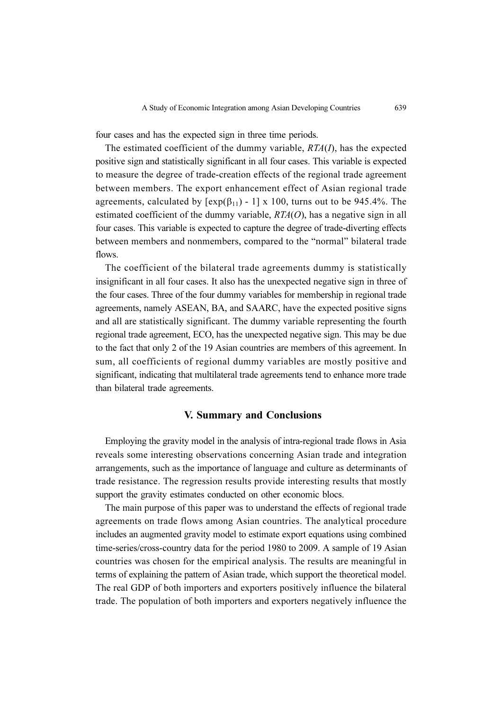four cases and has the expected sign in three time periods.

The estimated coefficient of the dummy variable,  $RTA(I)$ , has the expected positive sign and statistically significant in all four cases. This variable is expected to measure the degree of trade-creation effects of the regional trade agreement between members. The export enhancement effect of Asian regional trade agreements, calculated by  $[\exp(\beta_{11}) - 1] \times 100$ , turns out to be 945.4%. The estimated coefficient of the dummy variable,  $RTA(O)$ , has a negative sign in all four cases. This variable is expected to capture the degree of trade-diverting effects between members and nonmembers, compared to the "normal" bilateral trade flows.

The coefficient of the bilateral trade agreements dummy is statistically insignificant in all four cases. It also has the unexpected negative sign in three of the four cases. Three of the four dummy variables for membership in regional trade agreements, namely ASEAN, BA, and SAARC, have the expected positive signs and all are statistically significant. The dummy variable representing the fourth regional trade agreement, ECO, has the unexpected negative sign. This may be due to the fact that only 2 of the 19 Asian countries are members of this agreement. In sum, all coefficients of regional dummy variables are mostly positive and significant, indicating that multilateral trade agreements tend to enhance more trade than bilateral trade agreements.

## V. Summary and Conclusions

Employing the gravity model in the analysis of intra-regional trade flows in Asia reveals some interesting observations concerning Asian trade and integration arrangements, such as the importance of language and culture as determinants of trade resistance. The regression results provide interesting results that mostly support the gravity estimates conducted on other economic blocs.

The main purpose of this paper was to understand the effects of regional trade agreements on trade flows among Asian countries. The analytical procedure includes an augmented gravity model to estimate export equations using combined time-series/cross-country data for the period 1980 to 2009. A sample of 19 Asian countries was chosen for the empirical analysis. The results are meaningful in terms of explaining the pattern of Asian trade, which support the theoretical model. The real GDP of both importers and exporters positively influence the bilateral trade. The population of both importers and exporters negatively influence the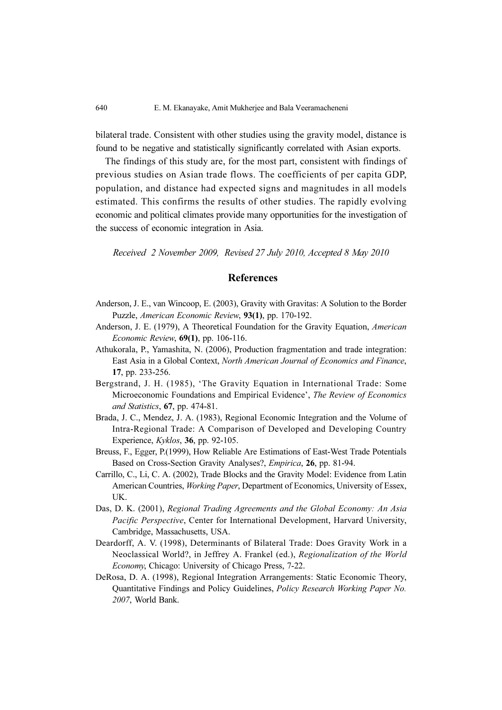bilateral trade. Consistent with other studies using the gravity model, distance is found to be negative and statistically significantly correlated with Asian exports.

The findings of this study are, for the most part, consistent with findings of previous studies on Asian trade flows. The coefficients of per capita GDP, population, and distance had expected signs and magnitudes in all models estimated. This confirms the results of other studies. The rapidly evolving economic and political climates provide many opportunities for the investigation of the success of economic integration in Asia.

Received 2 November 2009, Revised 27 July 2010, Accepted 8 May 2010

#### **References**

- Anderson, J. E., van Wincoop, E. (2003), Gravity with Gravitas: A Solution to the Border Puzzle, American Economic Review, 93(1), pp. 170-192.
- Anderson, J. E. (1979), A Theoretical Foundation for the Gravity Equation, American Economic Review, 69(1), pp. 106-116.
- Athukorala, P., Yamashita, N. (2006), Production fragmentation and trade integration: East Asia in a Global Context, North American Journal of Economics and Finance, 17, pp. 233-256.
- Bergstrand, J. H. (1985), 'The Gravity Equation in International Trade: Some Microeconomic Foundations and Empirical Evidence', The Review of Economics and Statistics, 67, pp. 474-81.
- Brada, J. C., Mendez, J. A. (1983), Regional Economic Integration and the Volume of Intra-Regional Trade: A Comparison of Developed and Developing Country Experience, Kyklos, 36, pp. 92-105.
- Breuss, F., Egger, P.(1999), How Reliable Are Estimations of East-West Trade Potentials Based on Cross-Section Gravity Analyses?, Empirica, 26, pp. 81-94.
- Carrillo, C., Li, C. A. (2002), Trade Blocks and the Gravity Model: Evidence from Latin American Countries, Working Paper, Department of Economics, University of Essex, UK.
- Das, D. K. (2001), Regional Trading Agreements and the Global Economy: An Asia Pacific Perspective, Center for International Development, Harvard University, Cambridge, Massachusetts, USA.
- Deardorff, A. V. (1998), Determinants of Bilateral Trade: Does Gravity Work in a Neoclassical World?, in Jeffrey A. Frankel (ed.), Regionalization of the World Economy, Chicago: University of Chicago Press, 7-22.
- DeRosa, D. A. (1998), Regional Integration Arrangements: Static Economic Theory, Quantitative Findings and Policy Guidelines, Policy Research Working Paper No. 2007, World Bank.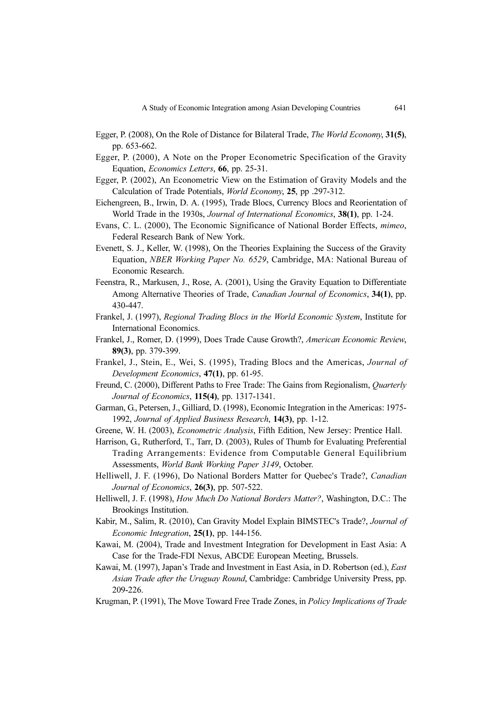- Egger, P. (2008), On the Role of Distance for Bilateral Trade, The World Economy, 31(5), pp. 653-662.
- Egger, P. (2000), A Note on the Proper Econometric Specification of the Gravity Equation, Economics Letters, 66, pp. 25-31.
- Egger, P. (2002), An Econometric View on the Estimation of Gravity Models and the Calculation of Trade Potentials, World Economy, 25, pp .297-312.
- Eichengreen, B., Irwin, D. A. (1995), Trade Blocs, Currency Blocs and Reorientation of World Trade in the 1930s, Journal of International Economics, 38(1), pp. 1-24.
- Evans, C. L. (2000), The Economic Significance of National Border Effects, mimeo, Federal Research Bank of New York.
- Evenett, S. J., Keller, W. (1998), On the Theories Explaining the Success of the Gravity Equation, NBER Working Paper No. 6529, Cambridge, MA: National Bureau of Economic Research.
- Feenstra, R., Markusen, J., Rose, A. (2001), Using the Gravity Equation to Differentiate Among Alternative Theories of Trade, Canadian Journal of Economics, 34(1), pp. 430-447.
- Frankel, J. (1997), Regional Trading Blocs in the World Economic System, Institute for International Economics.
- Frankel, J., Romer, D. (1999), Does Trade Cause Growth?, American Economic Review, 89(3), pp. 379-399.
- Frankel, J., Stein, E., Wei, S. (1995), Trading Blocs and the Americas, Journal of Development Economics, 47(1), pp. 61-95.
- Freund, C. (2000), Different Paths to Free Trade: The Gains from Regionalism, *Quarterly* Journal of Economics, 115(4), pp. 1317-1341.
- Garman, G., Petersen, J., Gilliard, D. (1998), Economic Integration in the Americas: 1975- 1992, Journal of Applied Business Research, 14(3), pp. 1-12.
- Greene, W. H. (2003), Econometric Analysis, Fifth Edition, New Jersey: Prentice Hall.
- Harrison, G., Rutherford, T., Tarr, D. (2003), Rules of Thumb for Evaluating Preferential Trading Arrangements: Evidence from Computable General Equilibrium Assessments, World Bank Working Paper 3149, October.
- Helliwell, J. F. (1996), Do National Borders Matter for Quebec's Trade?, Canadian Journal of Economics, 26(3), pp. 507-522.
- Helliwell, J. F. (1998), How Much Do National Borders Matter?, Washington, D.C.: The Brookings Institution.
- Kabir, M., Salim, R. (2010), Can Gravity Model Explain BIMSTEC's Trade?, Journal of Economic Integration, 25(1), pp. 144-156.
- Kawai, M. (2004), Trade and Investment Integration for Development in East Asia: A Case for the Trade-FDI Nexus, ABCDE European Meeting, Brussels.
- Kawai, M. (1997), Japan's Trade and Investment in East Asia, in D. Robertson (ed.), East Asian Trade after the Uruguay Round, Cambridge: Cambridge University Press, pp. 209-226.
- Krugman, P. (1991), The Move Toward Free Trade Zones, in Policy Implications of Trade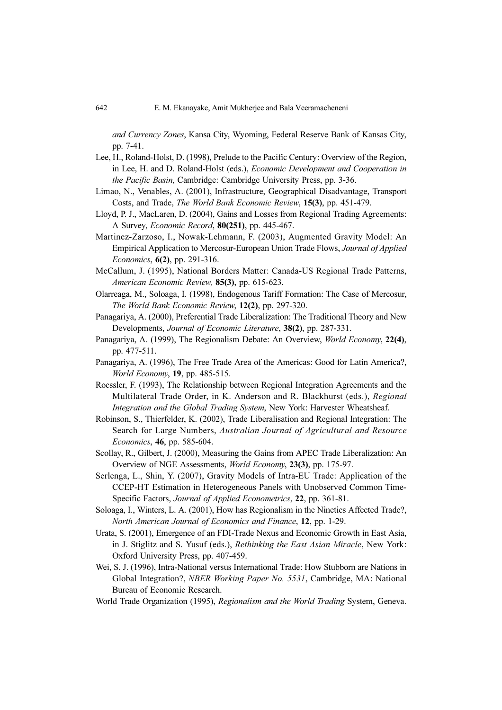and Currency Zones, Kansa City, Wyoming, Federal Reserve Bank of Kansas City, pp. 7-41.

- Lee, H., Roland-Holst, D. (1998), Prelude to the Pacific Century: Overview of the Region, in Lee, H. and D. Roland-Holst (eds.), Economic Development and Cooperation in the Pacific Basin, Cambridge: Cambridge University Press, pp. 3-36.
- Limao, N., Venables, A. (2001), Infrastructure, Geographical Disadvantage, Transport Costs, and Trade, The World Bank Economic Review, 15(3), pp. 451-479.
- Lloyd, P. J., MacLaren, D. (2004), Gains and Losses from Regional Trading Agreements: A Survey, Economic Record, 80(251), pp. 445-467.
- Martinez-Zarzoso, I., Nowak-Lehmann, F. (2003), Augmented Gravity Model: An Empirical Application to Mercosur-European Union Trade Flows, Journal of Applied Economics, 6(2), pp. 291-316.
- McCallum, J. (1995), National Borders Matter: Canada-US Regional Trade Patterns, American Economic Review, 85(3), pp. 615-623.
- Olarreaga, M., Soloaga, I. (1998), Endogenous Tariff Formation: The Case of Mercosur, The World Bank Economic Review, 12(2), pp. 297-320.
- Panagariya, A. (2000), Preferential Trade Liberalization: The Traditional Theory and New Developments, Journal of Economic Literature, 38(2), pp. 287-331.
- Panagariya, A. (1999), The Regionalism Debate: An Overview, World Economy, 22(4), pp. 477-511.
- Panagariya, A. (1996), The Free Trade Area of the Americas: Good for Latin America?, World Economy, 19, pp. 485-515.
- Roessler, F. (1993), The Relationship between Regional Integration Agreements and the Multilateral Trade Order, in K. Anderson and R. Blackhurst (eds.), Regional Integration and the Global Trading System, New York: Harvester Wheatsheaf.
- Robinson, S., Thierfelder, K. (2002), Trade Liberalisation and Regional Integration: The Search for Large Numbers, Australian Journal of Agricultural and Resource Economics, 46, pp. 585-604.
- Scollay, R., Gilbert, J. (2000), Measuring the Gains from APEC Trade Liberalization: An Overview of NGE Assessments, World Economy, 23(3), pp. 175-97.
- Serlenga, L., Shin, Y. (2007), Gravity Models of Intra-EU Trade: Application of the CCEP-HT Estimation in Heterogeneous Panels with Unobserved Common Time-Specific Factors, Journal of Applied Econometrics, 22, pp. 361-81.
- Soloaga, I., Winters, L. A. (2001), How has Regionalism in the Nineties Affected Trade?, North American Journal of Economics and Finance, 12, pp. 1-29.
- Urata, S. (2001), Emergence of an FDI-Trade Nexus and Economic Growth in East Asia, in J. Stiglitz and S. Yusuf (eds.), Rethinking the East Asian Miracle, New York: Oxford University Press, pp. 407-459.
- Wei, S. J. (1996), Intra-National versus International Trade: How Stubborn are Nations in Global Integration?, NBER Working Paper No. 5531, Cambridge, MA: National Bureau of Economic Research.
- World Trade Organization (1995), Regionalism and the World Trading System, Geneva.